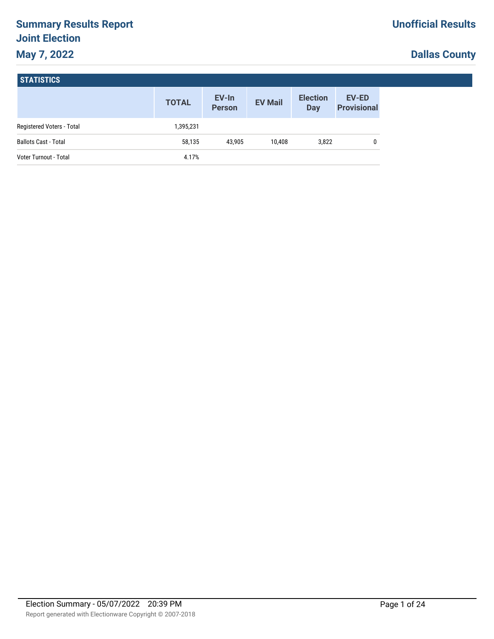# **Summary Results Report Joint Election May 7, 2022**

# **Dallas County**

| <b>STATISTICS</b> |  |
|-------------------|--|
|-------------------|--|

|                             | <b>TOTAL</b> | EV-In<br><b>Person</b> | <b>EV Mail</b> | <b>Election</b><br>Day | <b>EV-ED</b><br><b>Provisional</b> |
|-----------------------------|--------------|------------------------|----------------|------------------------|------------------------------------|
| Registered Voters - Total   | 1,395,231    |                        |                |                        |                                    |
| <b>Ballots Cast - Total</b> | 58,135       | 43.905                 | 10.408         | 3,822                  | 0                                  |
| Voter Turnout - Total       | 4.17%        |                        |                |                        |                                    |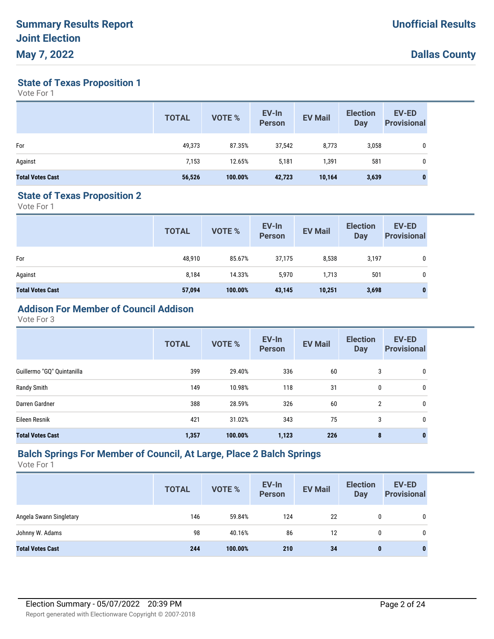**State of Texas Proposition 1**

Vote For 1

|                         | <b>TOTAL</b> | <b>VOTE %</b> | EV-In<br><b>Person</b> | <b>EV Mail</b> | <b>Election</b><br><b>Day</b> | <b>EV-ED</b><br><b>Provisional</b> |
|-------------------------|--------------|---------------|------------------------|----------------|-------------------------------|------------------------------------|
| For                     | 49,373       | 87.35%        | 37,542                 | 8,773          | 3,058                         | 0                                  |
| Against                 | 7,153        | 12.65%        | 5,181                  | 1,391          | 581                           | 0                                  |
| <b>Total Votes Cast</b> | 56,526       | 100.00%       | 42,723                 | 10,164         | 3,639                         | $\bf{0}$                           |

#### **State of Texas Proposition 2**

Vote For 1

|                         | <b>TOTAL</b> | VOTE %  | EV-In<br>Person | <b>EV Mail</b> | <b>Election</b><br><b>Day</b> | <b>EV-ED</b><br><b>Provisional</b> |
|-------------------------|--------------|---------|-----------------|----------------|-------------------------------|------------------------------------|
| For                     | 48,910       | 85.67%  | 37,175          | 8,538          | 3,197                         | 0                                  |
| Against                 | 8,184        | 14.33%  | 5,970           | 1,713          | 501                           | 0                                  |
| <b>Total Votes Cast</b> | 57,094       | 100.00% | 43,145          | 10,251         | 3,698                         | 0                                  |

# **Addison For Member of Council Addison**

Vote For 3

|                            | <b>TOTAL</b> | VOTE %  | EV-In<br><b>Person</b> | <b>EV Mail</b> | <b>Election</b><br><b>Day</b> | EV-ED<br><b>Provisional</b> |
|----------------------------|--------------|---------|------------------------|----------------|-------------------------------|-----------------------------|
| Guillermo "GQ" Quintanilla | 399          | 29.40%  | 336                    | 60             | 3                             | 0                           |
| Randy Smith                | 149          | 10.98%  | 118                    | 31             | 0                             | 0                           |
| Darren Gardner             | 388          | 28.59%  | 326                    | 60             | $\overline{2}$                | 0                           |
| Eileen Resnik              | 421          | 31.02%  | 343                    | 75             | 3                             | 0                           |
| <b>Total Votes Cast</b>    | 1,357        | 100.00% | 1,123                  | 226            | 8                             | 0                           |

#### **Balch Springs For Member of Council, At Large, Place 2 Balch Springs**

|                         | <b>TOTAL</b> | <b>VOTE %</b> | EV-In<br><b>Person</b> | <b>EV Mail</b> | <b>Election</b><br><b>Day</b> | <b>EV-ED</b><br><b>Provisional</b> |
|-------------------------|--------------|---------------|------------------------|----------------|-------------------------------|------------------------------------|
| Angela Swann Singletary | 146          | 59.84%        | 124                    | 22             | 0                             |                                    |
| Johnny W. Adams         | 98           | 40.16%        | 86                     | 12             | 0                             |                                    |
| <b>Total Votes Cast</b> | 244          | 100.00%       | 210                    | 34             | $\mathbf{0}$                  | 0                                  |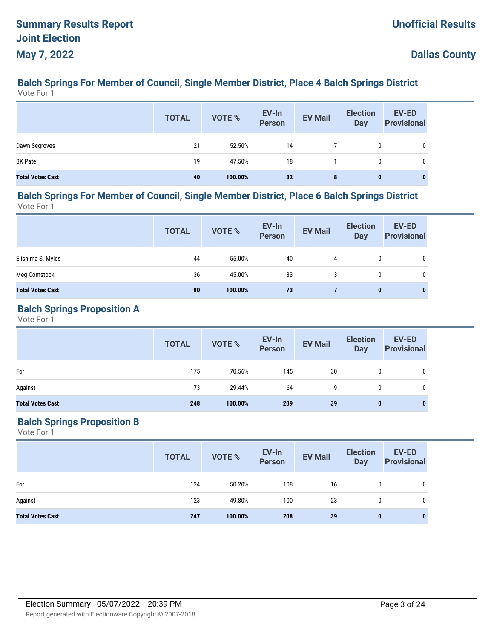#### **Balch Springs For Member of Council, Single Member District, Place 4 Balch Springs District** Vote For 1

|                         | <b>TOTAL</b> | VOTE %  | EV-In<br>Person | <b>EV Mail</b> | <b>Election</b><br><b>Day</b> | EV-ED<br><b>Provisional</b> |
|-------------------------|--------------|---------|-----------------|----------------|-------------------------------|-----------------------------|
| Dawn Segroves           | 21           | 52.50%  | 14              |                | 0                             |                             |
| <b>BK Patel</b>         | 19           | 47.50%  | 18              |                | 0                             |                             |
| <b>Total Votes Cast</b> | 40           | 100.00% | 32              | 8              | $\bf{0}$                      | 0                           |

#### **Balch Springs For Member of Council, Single Member District, Place 6 Balch Springs District** Vote For 1

|                         | <b>TOTAL</b> | VOTE %  | EV-In<br><b>Person</b> | <b>EV Mail</b> | <b>Election</b><br>Day | <b>EV-ED</b><br><b>Provisional</b> |
|-------------------------|--------------|---------|------------------------|----------------|------------------------|------------------------------------|
| Elishima S. Myles       | 44           | 55.00%  | 40                     | 4              | 0                      | 0                                  |
| <b>Meg Comstock</b>     | 36           | 45.00%  | 33                     | 3              | $\mathbf{0}$           | $\mathbf 0$                        |
| <b>Total Votes Cast</b> | 80           | 100.00% | 73                     |                | $\bf{0}$               | $\bf{0}$                           |

#### **Balch Springs Proposition A**

Vote For 1

|                         | <b>TOTAL</b> | VOTE %  | EV-In<br>Person | <b>EV Mail</b> | <b>Election</b><br>Day | <b>EV-ED</b><br><b>Provisional</b> |
|-------------------------|--------------|---------|-----------------|----------------|------------------------|------------------------------------|
| For                     | 175          | 70.56%  | 145             | 30             | 0                      | 0                                  |
| Against                 | 73           | 29.44%  | 64              | 9              | 0                      | 0                                  |
| <b>Total Votes Cast</b> | 248          | 100.00% | 209             | 39             | $\bf{0}$               | 0                                  |

## **Balch Springs Proposition B**

|                         | <b>TOTAL</b> | VOTE %  | EV-In<br>Person | <b>EV Mail</b> | <b>Election</b><br><b>Day</b> | <b>EV-ED</b><br><b>Provisional</b> |
|-------------------------|--------------|---------|-----------------|----------------|-------------------------------|------------------------------------|
| For                     | 124          | 50.20%  | 108             | 16             | 0                             | $\mathbf 0$                        |
| Against                 | 123          | 49.80%  | 100             | 23             | 0                             | 0                                  |
| <b>Total Votes Cast</b> | 247          | 100.00% | 208             | 39             | 0                             | 0                                  |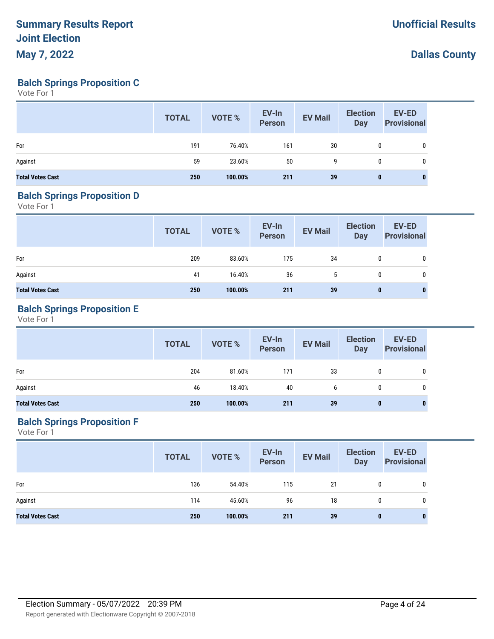**Balch Springs Proposition C**

Vote For 1

|                         | <b>TOTAL</b> | VOTE %  | EV-In<br>Person | <b>EV Mail</b> | <b>Election</b><br><b>Day</b> | EV-ED<br><b>Provisional</b> |
|-------------------------|--------------|---------|-----------------|----------------|-------------------------------|-----------------------------|
| For                     | 191          | 76.40%  | 161             | 30             | 0                             | 0                           |
| Against                 | 59           | 23.60%  | 50              | 9              | 0                             | $\mathbf 0$                 |
| <b>Total Votes Cast</b> | 250          | 100.00% | 211             | 39             | $\bf{0}$                      |                             |

#### **Balch Springs Proposition D**

Vote For 1

|                         | <b>TOTAL</b> | VOTE %  | EV-In<br>Person | <b>EV Mail</b> | <b>Election</b><br>Day | <b>EV-ED</b><br><b>Provisional</b> |
|-------------------------|--------------|---------|-----------------|----------------|------------------------|------------------------------------|
| For                     | 209          | 83.60%  | 175             | 34             | 0                      | 0                                  |
| Against                 | 41           | 16.40%  | 36              | 5              | 0                      | 0                                  |
| <b>Total Votes Cast</b> | 250          | 100.00% | 211             | 39             | $\bf{0}$               | $\bf{0}$                           |

## **Balch Springs Proposition E**

Vote For 1

|                         | <b>TOTAL</b> | VOTE %  | EV-In<br>Person | <b>EV Mail</b> | <b>Election</b><br><b>Day</b> | <b>EV-ED</b><br>Provisional |
|-------------------------|--------------|---------|-----------------|----------------|-------------------------------|-----------------------------|
| For                     | 204          | 81.60%  | 171             | 33             | 0                             | 0                           |
| Against                 | 46           | 18.40%  | 40              | b              | 0                             | 0                           |
| <b>Total Votes Cast</b> | 250          | 100.00% | 211             | 39             | 0                             | $\bf{0}$                    |

## **Balch Springs Proposition F**

|                         | <b>TOTAL</b> | VOTE %  | EV-In<br>Person | <b>EV Mail</b> | <b>Election</b><br><b>Day</b> | <b>EV-ED</b><br><b>Provisional</b> |
|-------------------------|--------------|---------|-----------------|----------------|-------------------------------|------------------------------------|
| For                     | 136          | 54.40%  | 115             | 21             | 0                             | 0                                  |
| Against                 | 114          | 45.60%  | 96              | 18             | 0                             | 0                                  |
| <b>Total Votes Cast</b> | 250          | 100.00% | 211             | 39             | $\bf{0}$                      | $\bf{0}$                           |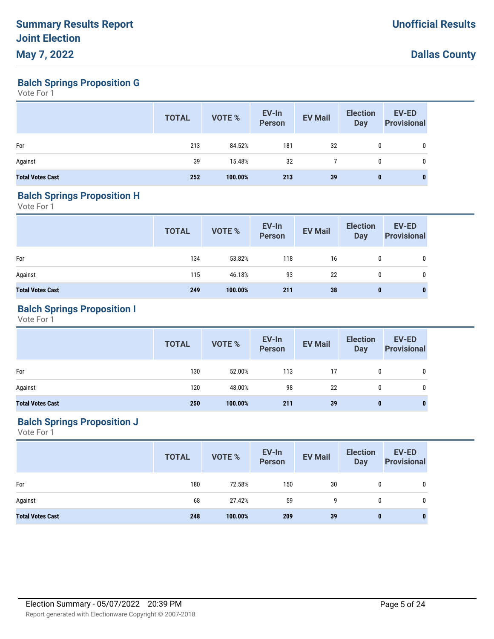**Balch Springs Proposition G**

Vote For 1

|                         | <b>TOTAL</b> | VOTE %  | EV-In<br><b>Person</b> | <b>EV Mail</b> | <b>Election</b><br><b>Day</b> | <b>EV-ED</b><br><b>Provisional</b> |
|-------------------------|--------------|---------|------------------------|----------------|-------------------------------|------------------------------------|
| For                     | 213          | 84.52%  | 181                    | 32             | 0                             |                                    |
| Against                 | 39           | 15.48%  | 32                     |                | 0                             |                                    |
| <b>Total Votes Cast</b> | 252          | 100.00% | 213                    | 39             | $\mathbf{0}$                  | 0                                  |

### **Balch Springs Proposition H**

Vote For 1

|                         | <b>TOTAL</b> | VOTE %  | EV-In<br>Person | <b>EV Mail</b> | <b>Election</b><br>Day | <b>EV-ED</b><br><b>Provisional</b> |
|-------------------------|--------------|---------|-----------------|----------------|------------------------|------------------------------------|
| For                     | 134          | 53.82%  | 118             | 16             | $\mathbf{0}$           | 0                                  |
| Against                 | 115          | 46.18%  | 93              | 22             | $\mathbf{0}$           | 0                                  |
| <b>Total Votes Cast</b> | 249          | 100.00% | 211             | 38             | $\bf{0}$               | 0                                  |

## **Balch Springs Proposition I**

Vote For 1

|                         | <b>TOTAL</b> | VOTE %  | EV-In<br>Person | <b>EV Mail</b> | <b>Election</b><br>Day | <b>EV-ED</b><br><b>Provisional</b> |
|-------------------------|--------------|---------|-----------------|----------------|------------------------|------------------------------------|
| For                     | 130          | 52.00%  | 113             | 17             | $\mathbf{0}$           | 0                                  |
| Against                 | 120          | 48.00%  | 98              | 22             | 0                      | 0                                  |
| <b>Total Votes Cast</b> | 250          | 100.00% | 211             | 39             | $\bf{0}$               |                                    |

## **Balch Springs Proposition J**

|                         | <b>TOTAL</b> | VOTE %  | EV-In<br>Person | <b>EV Mail</b> | <b>Election</b><br><b>Day</b> | <b>EV-ED</b><br><b>Provisional</b> |
|-------------------------|--------------|---------|-----------------|----------------|-------------------------------|------------------------------------|
| For                     | 180          | 72.58%  | 150             | 30             | 0                             | 0                                  |
| Against                 | 68           | 27.42%  | 59              | 9              | 0                             | 0                                  |
| <b>Total Votes Cast</b> | 248          | 100.00% | 209             | 39             | $\bf{0}$                      | $\mathbf{0}$                       |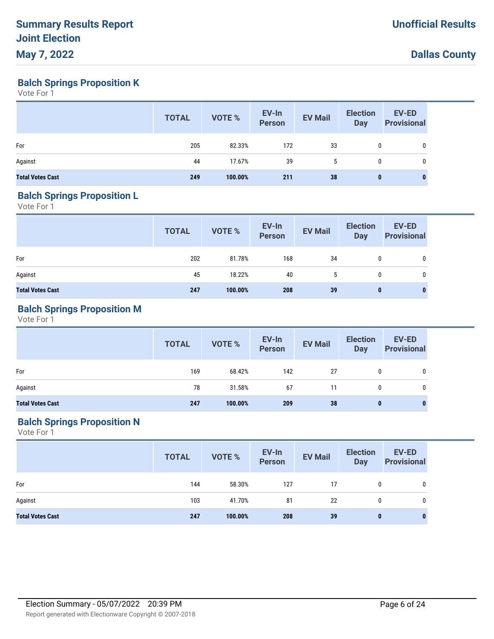**Balch Springs Proposition K**

Vote For 1

|                         | <b>TOTAL</b> | VOTE %  | EV-In<br>Person | <b>EV Mail</b> | <b>Election</b><br><b>Day</b> | EV-ED<br><b>Provisional</b> |
|-------------------------|--------------|---------|-----------------|----------------|-------------------------------|-----------------------------|
| For                     | 205          | 82.33%  | 172             | 33             | 0                             | 0                           |
| Against                 | 44           | 17.67%  | 39              | 5              | $\mathbf{0}$                  | 0                           |
| <b>Total Votes Cast</b> | 249          | 100.00% | 211             | 38             | $\bf{0}$                      | 0                           |

#### **Balch Springs Proposition L**

Vote For 1

|                         | <b>TOTAL</b> | VOTE %  | EV-In<br>Person | <b>EV Mail</b> | <b>Election</b><br><b>Day</b> | <b>EV-ED</b><br><b>Provisional</b> |
|-------------------------|--------------|---------|-----------------|----------------|-------------------------------|------------------------------------|
| For                     | 202          | 81.78%  | 168             | 34             | 0                             | 0                                  |
| Against                 | 45           | 18.22%  | 40              | $\mathbf b$    | 0                             | 0                                  |
| <b>Total Votes Cast</b> | 247          | 100.00% | 208             | 39             | 0                             | 0                                  |

### **Balch Springs Proposition M**

Vote For 1

|                         | <b>TOTAL</b> | <b>VOTE %</b> | EV-In<br>Person | <b>EV Mail</b> | <b>Election</b><br><b>Day</b> | <b>EV-ED</b><br><b>Provisional</b> |
|-------------------------|--------------|---------------|-----------------|----------------|-------------------------------|------------------------------------|
| For                     | 169          | 68.42%        | 142             | 27             | $\mathbf 0$                   | 0                                  |
| Against                 | 78           | 31.58%        | 67              | 11             | 0                             | 0                                  |
| <b>Total Votes Cast</b> | 247          | 100.00%       | 209             | 38             | $\mathbf 0$                   | 0                                  |

# **Balch Springs Proposition N**

|                         | <b>TOTAL</b> | VOTE %  | EV-In<br>Person | <b>EV Mail</b> | <b>Election</b><br><b>Day</b> | <b>EV-ED</b><br><b>Provisional</b> |
|-------------------------|--------------|---------|-----------------|----------------|-------------------------------|------------------------------------|
| For                     | 144          | 58.30%  | 127             | 17             | 0                             | 0                                  |
| Against                 | 103          | 41.70%  | 81              | 22             | 0                             | 0                                  |
| <b>Total Votes Cast</b> | 247          | 100.00% | 208             | 39             | $\bf{0}$                      | $\bf{0}$                           |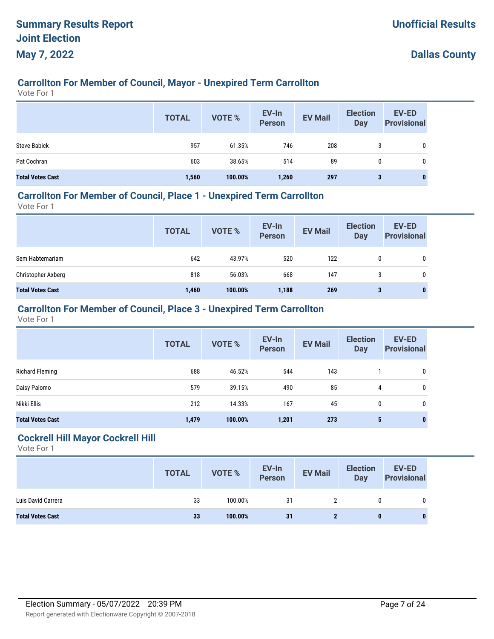# **Carrollton For Member of Council, Mayor - Unexpired Term Carrollton**

Vote For 1

|                         | <b>TOTAL</b> | <b>VOTE %</b> | EV-In<br><b>Person</b> | <b>EV Mail</b> | <b>Election</b><br>Day | EV-ED<br><b>Provisional</b> |
|-------------------------|--------------|---------------|------------------------|----------------|------------------------|-----------------------------|
| <b>Steve Babick</b>     | 957          | 61.35%        | 746                    | 208            | 3                      | 0                           |
| Pat Cochran             | 603          | 38.65%        | 514                    | 89             | 0                      | 0                           |
| <b>Total Votes Cast</b> | 1,560        | 100.00%       | 1,260                  | 297            | 3                      | 0                           |

## **Carrollton For Member of Council, Place 1 - Unexpired Term Carrollton**

Vote For 1

|                         | <b>TOTAL</b> | <b>VOTE %</b> | EV-In<br><b>Person</b> | <b>EV Mail</b> | <b>Election</b><br><b>Day</b> | <b>EV-ED</b><br><b>Provisional</b> |
|-------------------------|--------------|---------------|------------------------|----------------|-------------------------------|------------------------------------|
| Sem Habtemariam         | 642          | 43.97%        | 520                    | 122            |                               |                                    |
| Christopher Axberg      | 818          | 56.03%        | 668                    | 147            |                               | 0                                  |
| <b>Total Votes Cast</b> | 1,460        | 100.00%       | 1,188                  | 269            | 3                             | 0                                  |

## **Carrollton For Member of Council, Place 3 - Unexpired Term Carrollton**

Vote For 1

|                         | <b>TOTAL</b> | VOTE %  | EV-In<br><b>Person</b> | <b>EV Mail</b> | <b>Election</b><br><b>Day</b> | <b>EV-ED</b><br><b>Provisional</b> |
|-------------------------|--------------|---------|------------------------|----------------|-------------------------------|------------------------------------|
| Richard Fleming         | 688          | 46.52%  | 544                    | 143            |                               | 0                                  |
| Daisy Palomo            | 579          | 39.15%  | 490                    | 85             | 4                             | 0                                  |
| Nikki Ellis             | 212          | 14.33%  | 167                    | 45             | 0                             | 0                                  |
| <b>Total Votes Cast</b> | 1,479        | 100.00% | 1,201                  | 273            | 5                             | 0                                  |

#### **Cockrell Hill Mayor Cockrell Hill**

|                         | <b>TOTAL</b> | <b>VOTE %</b> | EV-In<br>Person | <b>EV Mail</b> | <b>Election</b><br><b>Day</b> | EV-ED<br><b>Provisional</b> |
|-------------------------|--------------|---------------|-----------------|----------------|-------------------------------|-----------------------------|
| Luis David Carrera      | 33           | 100.00%       | 31              |                |                               | 0                           |
| <b>Total Votes Cast</b> | 33           | 100.00%       | 31              |                | 0                             |                             |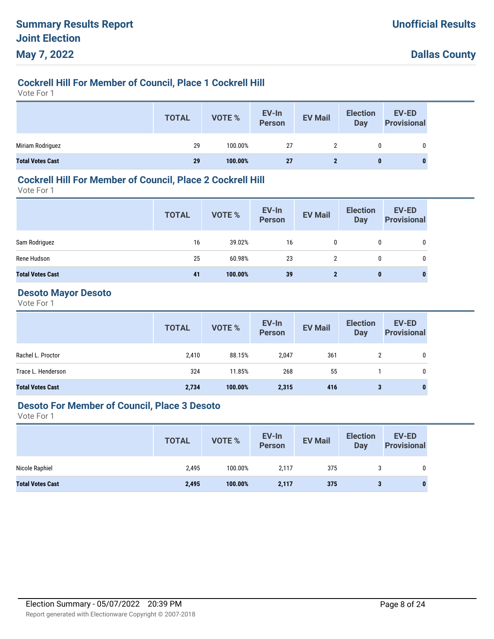# **Cockrell Hill For Member of Council, Place 1 Cockrell Hill**

Vote For 1

|                         | <b>TOTAL</b> | VOTE %  | EV-In<br>Person | <b>EV Mail</b> | <b>Election</b><br>Day | <b>EV-ED</b><br><b>Provisional</b> |
|-------------------------|--------------|---------|-----------------|----------------|------------------------|------------------------------------|
| Miriam Rodriguez        | 29           | 100.00% | 27              |                | 0                      |                                    |
| <b>Total Votes Cast</b> | 29           | 100.00% | <b>27</b>       |                | 0                      |                                    |

### **Cockrell Hill For Member of Council, Place 2 Cockrell Hill**

Vote For 1

|                         | <b>TOTAL</b> | VOTE %  | EV-In<br>Person | <b>EV Mail</b> | <b>Election</b><br>Day | <b>EV-ED</b><br><b>Provisional</b> |
|-------------------------|--------------|---------|-----------------|----------------|------------------------|------------------------------------|
| Sam Rodriguez           | 16           | 39.02%  | 16              | 0              | 0                      | 0                                  |
| Rene Hudson             | 25           | 60.98%  | 23              | $\overline{2}$ | 0                      | 0                                  |
| <b>Total Votes Cast</b> | 41           | 100.00% | 39              | $\mathbf{2}$   | $\bf{0}$               | 0                                  |

#### **Desoto Mayor Desoto**

Vote For 1

|                         | <b>TOTAL</b> | VOTE %  | EV-In<br>Person | <b>EV Mail</b> | <b>Election</b><br><b>Day</b> | <b>EV-ED</b><br><b>Provisional</b> |
|-------------------------|--------------|---------|-----------------|----------------|-------------------------------|------------------------------------|
| Rachel L. Proctor       | 2,410        | 88.15%  | 2,047           | 361            | 2                             | 0                                  |
| Trace L. Henderson      | 324          | 11.85%  | 268             | 55             |                               | 0                                  |
| <b>Total Votes Cast</b> | 2,734        | 100.00% | 2,315           | 416            | 3                             | 0                                  |

#### **Desoto For Member of Council, Place 3 Desoto**

|                         | <b>TOTAL</b> | VOTE %  | EV-In<br>Person | <b>EV Mail</b> | <b>Election</b><br>Day | EV-ED<br><b>Provisional</b> |
|-------------------------|--------------|---------|-----------------|----------------|------------------------|-----------------------------|
| Nicole Raphiel          | 2,495        | 100.00% | 2,117           | 375            |                        | 0                           |
| <b>Total Votes Cast</b> | 2,495        | 100.00% | 2,117           | 375            | 3                      | 0                           |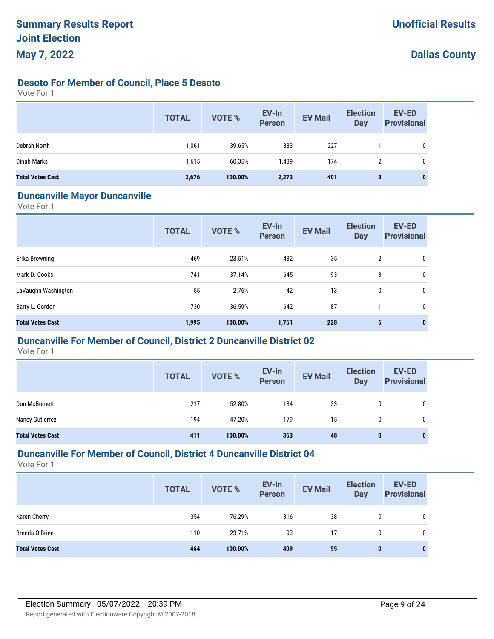# **Desoto For Member of Council, Place 5 Desoto**

Vote For 1

|                         | <b>TOTAL</b> | VOTE %  | EV-In<br><b>Person</b> | <b>EV Mail</b> | <b>Election</b><br><b>Day</b> | EV-ED<br><b>Provisional</b> |
|-------------------------|--------------|---------|------------------------|----------------|-------------------------------|-----------------------------|
| Debrah North            | 1,061        | 39.65%  | 833                    | 227            |                               | $\mathbf 0$                 |
| Dinah Marks             | 1,615        | 60.35%  | 1,439                  | 174            | 2                             | 0                           |
| <b>Total Votes Cast</b> | 2,676        | 100.00% | 2,272                  | 401            | 3                             | $\bf{0}$                    |

#### **Duncanville Mayor Duncanville**

Vote For 1

|                         | <b>TOTAL</b> | <b>VOTE %</b> | EV-In<br><b>Person</b> | <b>EV Mail</b> | <b>Election</b><br><b>Day</b> | <b>EV-ED</b><br><b>Provisional</b> |
|-------------------------|--------------|---------------|------------------------|----------------|-------------------------------|------------------------------------|
| Erika Browning          | 469          | 23.51%        | 432                    | 35             | 2                             | 0                                  |
| Mark D. Cooks           | 741          | 37.14%        | 645                    | 93             | 3                             | 0                                  |
| LaVaughn Washington     | 55           | 2.76%         | 42                     | 13             | 0                             | 0                                  |
| Barry L. Gordon         | 730          | 36.59%        | 642                    | 87             |                               | 0                                  |
| <b>Total Votes Cast</b> | 1,995        | 100.00%       | 1,761                  | 228            | 6                             | $\bf{0}$                           |

### **Duncanville For Member of Council, District 2 Duncanville District 02**

Vote For 1

|                         | <b>TOTAL</b> | <b>VOTE %</b> | EV-In<br>Person | <b>EV Mail</b> | <b>Election</b><br>Day | EV-ED<br><b>Provisional</b> |
|-------------------------|--------------|---------------|-----------------|----------------|------------------------|-----------------------------|
| Don McBurnett           | 217          | 52.80%        | 184             | 33             | 0                      | 0                           |
| Nancy Gutierrez         | 194          | 47.20%        | 179             | 15             | 0                      | 0                           |
| <b>Total Votes Cast</b> | 411          | 100.00%       | 363             | 48             | 0                      | $\mathbf{0}$                |

## **Duncanville For Member of Council, District 4 Duncanville District 04**

|                         | <b>TOTAL</b> | <b>VOTE %</b> | EV-In<br><b>Person</b> | <b>EV Mail</b> | <b>Election</b><br>Day | <b>EV-ED</b><br><b>Provisional</b> |
|-------------------------|--------------|---------------|------------------------|----------------|------------------------|------------------------------------|
| Karen Cherry            | 354          | 76.29%        | 316                    | 38             | 0                      | 0                                  |
| Brenda O'Brien          | 110          | 23.71%        | 93                     | 17             | 0                      | 0                                  |
| <b>Total Votes Cast</b> | 464          | 100.00%       | 409                    | 55             | 0                      | 0                                  |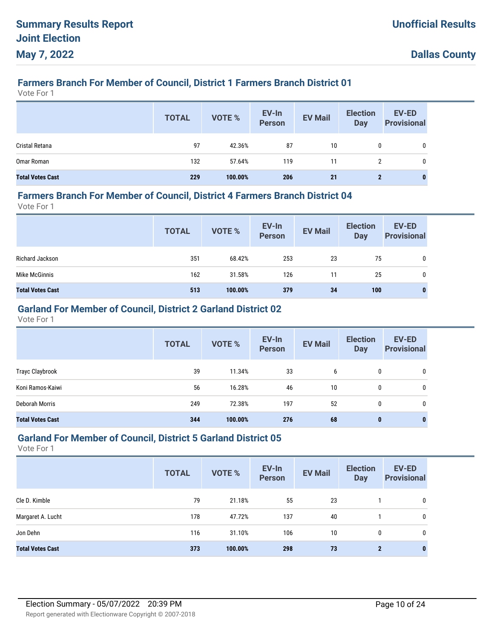# **Farmers Branch For Member of Council, District 1 Farmers Branch District 01**

Vote For 1

|                         | <b>TOTAL</b> | <b>VOTE %</b> | EV-In<br>Person | <b>EV Mail</b> | <b>Election</b><br>Day | <b>EV-ED</b><br><b>Provisional</b> |
|-------------------------|--------------|---------------|-----------------|----------------|------------------------|------------------------------------|
| Cristal Retana          | 97           | 42.36%        | 87              | 10             | 0                      | 0                                  |
| Omar Roman              | 132          | 57.64%        | 119             | 11             | 2                      | 0                                  |
| <b>Total Votes Cast</b> | 229          | 100.00%       | 206             | 21             | $\mathbf{2}$           | 0                                  |

#### **Farmers Branch For Member of Council, District 4 Farmers Branch District 04**

Vote For 1

|                         | <b>TOTAL</b> | VOTE %  | EV-In<br>Person | <b>EV Mail</b> | <b>Election</b><br><b>Day</b> | <b>EV-ED</b><br><b>Provisional</b> |
|-------------------------|--------------|---------|-----------------|----------------|-------------------------------|------------------------------------|
| Richard Jackson         | 351          | 68.42%  | 253             | 23             | 75                            | 0                                  |
| Mike McGinnis           | 162          | 31.58%  | 126             | 11             | 25                            | 0                                  |
| <b>Total Votes Cast</b> | 513          | 100.00% | 379             | 34             | 100                           | 0                                  |

# **Garland For Member of Council, District 2 Garland District 02**

Vote For 1

|                         | <b>TOTAL</b> | <b>VOTE %</b> | EV-In<br><b>Person</b> | <b>EV Mail</b> | <b>Election</b><br><b>Day</b> | <b>EV-ED</b><br><b>Provisional</b> |
|-------------------------|--------------|---------------|------------------------|----------------|-------------------------------|------------------------------------|
| Trayc Claybrook         | 39           | 11.34%        | 33                     | 6              | 0                             | 0                                  |
| Koni Ramos-Kaiwi        | 56           | 16.28%        | 46                     | 10             | 0                             | 0                                  |
| Deborah Morris          | 249          | 72.38%        | 197                    | 52             | 0                             | 0                                  |
| <b>Total Votes Cast</b> | 344          | 100.00%       | 276                    | 68             | 0                             | 0                                  |

#### **Garland For Member of Council, District 5 Garland District 05**

|                         | <b>TOTAL</b> | <b>VOTE %</b> | EV-In<br><b>Person</b> | <b>EV Mail</b> | <b>Election</b><br><b>Day</b> | <b>EV-ED</b><br><b>Provisional</b> |
|-------------------------|--------------|---------------|------------------------|----------------|-------------------------------|------------------------------------|
| Cle D. Kimble           | 79           | 21.18%        | 55                     | 23             |                               | 0                                  |
| Margaret A. Lucht       | 178          | 47.72%        | 137                    | 40             |                               | 0                                  |
| Jon Dehn                | 116          | 31.10%        | 106                    | 10             | 0                             | 0                                  |
| <b>Total Votes Cast</b> | 373          | 100.00%       | 298                    | 73             | $\mathbf{2}$                  | 0                                  |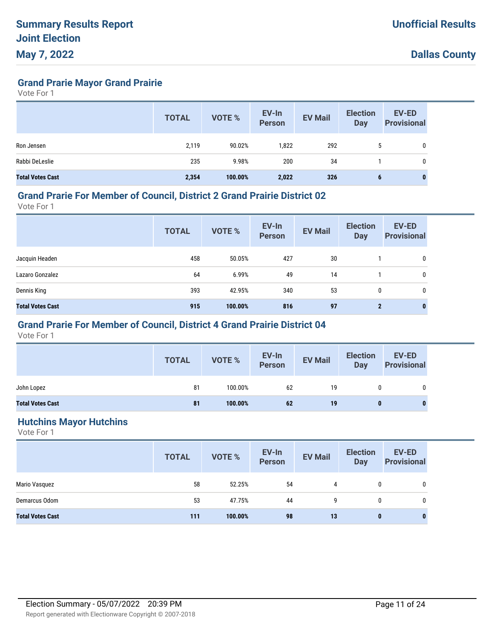**Grand Prarie Mayor Grand Prairie**

Vote For 1

|                         | <b>TOTAL</b> | <b>VOTE %</b> | EV-In<br><b>Person</b> | <b>EV Mail</b> | <b>Election</b><br><b>Day</b> | EV-ED<br><b>Provisional</b> |
|-------------------------|--------------|---------------|------------------------|----------------|-------------------------------|-----------------------------|
| Ron Jensen              | 2,119        | 90.02%        | 1,822                  | 292            | <sub>5</sub>                  | 0                           |
| Rabbi DeLeslie          | 235          | 9.98%         | 200                    | 34             |                               | 0                           |
| <b>Total Votes Cast</b> | 2,354        | 100.00%       | 2,022                  | 326            | 6                             | 0                           |

#### **Grand Prarie For Member of Council, District 2 Grand Prairie District 02**

Vote For 1

|                         | <b>TOTAL</b> | <b>VOTE %</b> | EV-In<br><b>Person</b> | <b>EV Mail</b> | <b>Election</b><br><b>Day</b> | <b>EV-ED</b><br><b>Provisional</b> |
|-------------------------|--------------|---------------|------------------------|----------------|-------------------------------|------------------------------------|
| Jacquin Headen          | 458          | 50.05%        | 427                    | 30             |                               | 0                                  |
| Lazaro Gonzalez         | 64           | 6.99%         | 49                     | 14             |                               | 0                                  |
| Dennis King             | 393          | 42.95%        | 340                    | 53             | 0                             | 0                                  |
| <b>Total Votes Cast</b> | 915          | 100.00%       | 816                    | 97             | $\mathbf{2}$                  | $\mathbf 0$                        |

## **Grand Prarie For Member of Council, District 4 Grand Prairie District 04**

Vote For 1

|                         | <b>TOTAL</b> | VOTE %  | EV-In<br>Person | <b>EV Mail</b> | <b>Election</b><br>Day | <b>EV-ED</b><br><b>Provisional</b> |
|-------------------------|--------------|---------|-----------------|----------------|------------------------|------------------------------------|
| John Lopez              | 81           | 100.00% | 62              | 19             | 0                      | 0                                  |
| <b>Total Votes Cast</b> | 81           | 100.00% | 62              | 19             | 0                      |                                    |

#### **Hutchins Mayor Hutchins**

|                         | <b>TOTAL</b> | VOTE %  | EV-In<br>Person | <b>EV Mail</b> | <b>Election</b><br><b>Day</b> | <b>EV-ED</b><br><b>Provisional</b> |
|-------------------------|--------------|---------|-----------------|----------------|-------------------------------|------------------------------------|
| Mario Vasquez           | 58           | 52.25%  | 54              | 4              | 0                             | 0                                  |
| Demarcus Odom           | 53           | 47.75%  | 44              | 9              | 0                             | 0                                  |
| <b>Total Votes Cast</b> | 111          | 100.00% | 98              | 13             | $\bf{0}$                      | $\mathbf{0}$                       |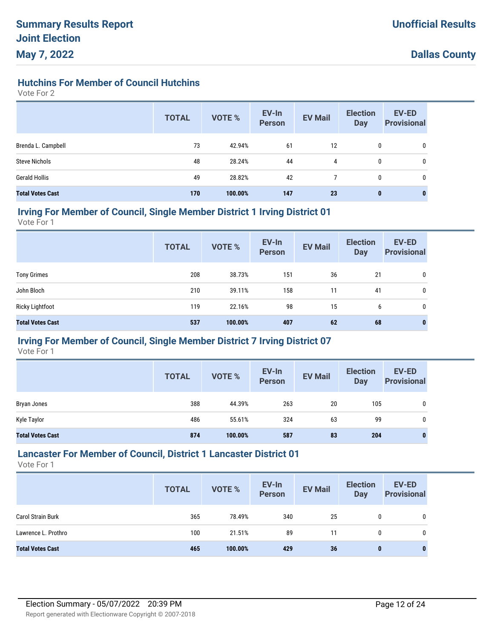## **Hutchins For Member of Council Hutchins**

Vote For 2

|                         | <b>TOTAL</b> | <b>VOTE %</b> | EV-In<br><b>Person</b> | <b>EV Mail</b> | <b>Election</b><br><b>Day</b> | <b>EV-ED</b><br><b>Provisional</b> |
|-------------------------|--------------|---------------|------------------------|----------------|-------------------------------|------------------------------------|
| Brenda L. Campbell      | 73           | 42.94%        | 61                     | 12             | 0                             | 0                                  |
| <b>Steve Nichols</b>    | 48           | 28.24%        | 44                     | 4              | 0                             | 0                                  |
| <b>Gerald Hollis</b>    | 49           | 28.82%        | 42                     |                | 0                             | 0                                  |
| <b>Total Votes Cast</b> | 170          | 100.00%       | 147                    | 23             | $\mathbf{0}$                  | 0                                  |

#### **Irving For Member of Council, Single Member District 1 Irving District 01**

Vote For 1

|                         | <b>TOTAL</b> | <b>VOTE %</b> | EV-In<br><b>Person</b> | <b>EV Mail</b> | <b>Election</b><br>Day | <b>EV-ED</b><br><b>Provisional</b> |
|-------------------------|--------------|---------------|------------------------|----------------|------------------------|------------------------------------|
| <b>Tony Grimes</b>      | 208          | 38.73%        | 151                    | 36             | 21                     | 0                                  |
| John Bloch              | 210          | 39.11%        | 158                    | 11             | 41                     | 0                                  |
| <b>Ricky Lightfoot</b>  | 119          | 22.16%        | 98                     | 15             | 6                      | 0                                  |
| <b>Total Votes Cast</b> | 537          | 100.00%       | 407                    | 62             | 68                     | $\bf{0}$                           |

### **Irving For Member of Council, Single Member District 7 Irving District 07**

Vote For 1

|                         | <b>TOTAL</b> | <b>VOTE %</b> | EV-In<br><b>Person</b> | <b>EV Mail</b> | <b>Election</b><br>Day | <b>EV-ED</b><br><b>Provisional</b> |
|-------------------------|--------------|---------------|------------------------|----------------|------------------------|------------------------------------|
| Bryan Jones             | 388          | 44.39%        | 263                    | 20             | 105                    | $\mathbf{0}$                       |
| Kyle Taylor             | 486          | 55.61%        | 324                    | 63             | 99                     | $\mathbf{0}$                       |
| <b>Total Votes Cast</b> | 874          | 100.00%       | 587                    | 83             | 204                    | 0                                  |

#### **Lancaster For Member of Council, District 1 Lancaster District 01**

|                          | <b>TOTAL</b> | <b>VOTE %</b> | EV-In<br><b>Person</b> | <b>EV Mail</b> | <b>Election</b><br>Day | <b>EV-ED</b><br><b>Provisional</b> |
|--------------------------|--------------|---------------|------------------------|----------------|------------------------|------------------------------------|
| <b>Carol Strain Burk</b> | 365          | 78.49%        | 340                    | 25             | 0                      | 0                                  |
| Lawrence L. Prothro      | 100          | 21.51%        | 89                     | 11             | 0                      | 0                                  |
| <b>Total Votes Cast</b>  | 465          | 100.00%       | 429                    | 36             | $\bf{0}$               | 0                                  |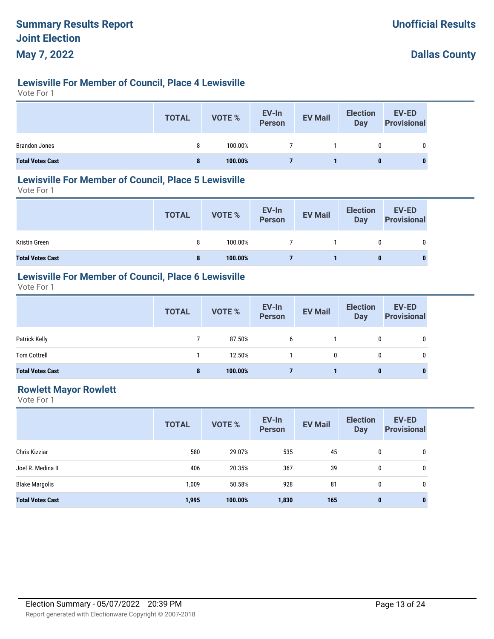# **Lewisville For Member of Council, Place 4 Lewisville**

Vote For 1

|                         | <b>TOTAL</b> | <b>VOTE %</b> | EV-In<br>Person | <b>EV Mail</b> | <b>Election</b><br>Day | <b>EV-ED</b><br><b>Provisional</b> |
|-------------------------|--------------|---------------|-----------------|----------------|------------------------|------------------------------------|
| <b>Brandon Jones</b>    | 8            | 100.00%       |                 |                |                        | 0                                  |
| <b>Total Votes Cast</b> | 8            | 100.00%       |                 |                | $\bf{0}$               |                                    |

#### **Lewisville For Member of Council, Place 5 Lewisville**

Vote For 1

|                         | <b>TOTAL</b> | VOTE %  | EV-In<br>Person | <b>EV Mail</b> | <b>Election</b><br>Day | EV-ED<br><b>Provisional</b> |
|-------------------------|--------------|---------|-----------------|----------------|------------------------|-----------------------------|
| Kristin Green           | 8            | 100.00% |                 |                | 0                      | 0                           |
| <b>Total Votes Cast</b> | 8            | 100.00% |                 |                |                        | 0                           |

# **Lewisville For Member of Council, Place 6 Lewisville**

Vote For 1

|                         | <b>TOTAL</b> | VOTE %  | EV-In<br>Person | <b>EV Mail</b> | <b>Election</b><br>Day | <b>EV-ED</b><br><b>Provisional</b> |
|-------------------------|--------------|---------|-----------------|----------------|------------------------|------------------------------------|
| Patrick Kelly           |              | 87.50%  | 6               |                | 0                      | 0                                  |
| <b>Tom Cottrell</b>     |              | 12.50%  |                 | 0              |                        |                                    |
| <b>Total Votes Cast</b> | 8            | 100.00% |                 |                | 0                      | $\bf{0}$                           |

## **Rowlett Mayor Rowlett**

|                         | <b>TOTAL</b> | <b>VOTE %</b> | EV-In<br><b>Person</b> | <b>EV Mail</b> | <b>Election</b><br><b>Day</b> | EV-ED<br><b>Provisional</b> |
|-------------------------|--------------|---------------|------------------------|----------------|-------------------------------|-----------------------------|
| Chris Kizziar           | 580          | 29.07%        | 535                    | 45             | 0                             | 0                           |
| Joel R. Medina II       | 406          | 20.35%        | 367                    | 39             | 0                             | 0                           |
| <b>Blake Margolis</b>   | 1,009        | 50.58%        | 928                    | 81             | 0                             | 0                           |
| <b>Total Votes Cast</b> | 1,995        | 100.00%       | 1,830                  | 165            | $\mathbf{0}$                  | $\bf{0}$                    |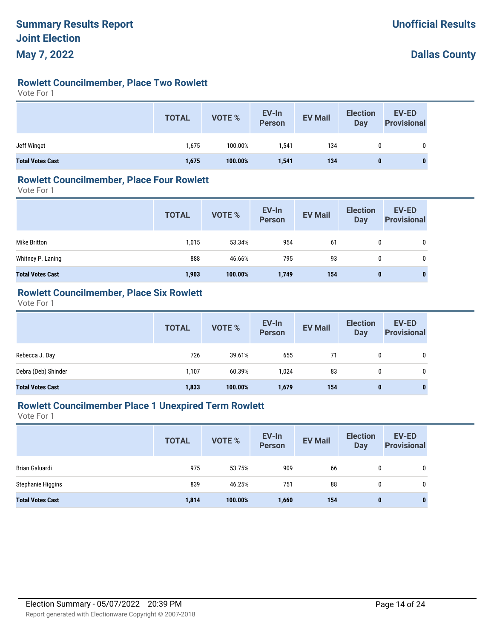# **Rowlett Councilmember, Place Two Rowlett**

Vote For 1

|                         | <b>TOTAL</b> | <b>VOTE %</b> | EV-In<br>Person | <b>EV Mail</b> | <b>Election</b><br><b>Day</b> | <b>EV-ED</b><br><b>Provisional</b> |
|-------------------------|--------------|---------------|-----------------|----------------|-------------------------------|------------------------------------|
| Jeff Winget             | 1,675        | 100.00%       | 1,541           | 134            | 0                             |                                    |
| <b>Total Votes Cast</b> | 1,675        | 100.00%       | 1,541           | 134            | 0                             | 0                                  |

#### **Rowlett Councilmember, Place Four Rowlett**

Vote For 1

|                         | <b>TOTAL</b> | <b>VOTE %</b> | EV-In<br>Person | <b>EV Mail</b> | <b>Election</b><br><b>Day</b> | <b>EV-ED</b><br><b>Provisional</b> |
|-------------------------|--------------|---------------|-----------------|----------------|-------------------------------|------------------------------------|
| Mike Britton            | 1,015        | 53.34%        | 954             | -61            | 0                             | 0                                  |
| Whitney P. Laning       | 888          | 46.66%        | 795             | 93             | 0                             | 0                                  |
| <b>Total Votes Cast</b> | 1,903        | 100.00%       | 1,749           | 154            | 0                             | $\bf{0}$                           |

## **Rowlett Councilmember, Place Six Rowlett**

Vote For 1

|                         | <b>TOTAL</b> | VOTE %  | EV-In<br>Person | <b>EV Mail</b> | <b>Election</b><br><b>Day</b> | EV-ED<br><b>Provisional</b> |
|-------------------------|--------------|---------|-----------------|----------------|-------------------------------|-----------------------------|
| Rebecca J. Day          | 726          | 39.61%  | 655             | 71             | 0                             | 0                           |
| Debra (Deb) Shinder     | 1.107        | 60.39%  | 1.024           | 83             | 0                             | 0                           |
| <b>Total Votes Cast</b> | 1,833        | 100.00% | 1,679           | 154            | 0                             | $\bf{0}$                    |

#### **Rowlett Councilmember Place 1 Unexpired Term Rowlett**

|                         | <b>TOTAL</b> | <b>VOTE %</b> | EV-In<br><b>Person</b> | <b>EV Mail</b> | <b>Election</b><br><b>Day</b> | <b>EV-ED</b><br><b>Provisional</b> |
|-------------------------|--------------|---------------|------------------------|----------------|-------------------------------|------------------------------------|
| Brian Galuardi          | 975          | 53.75%        | 909                    | 66             | 0                             | 0                                  |
| Stephanie Higgins       | 839          | 46.25%        | 751                    | 88             | 0                             | 0                                  |
| <b>Total Votes Cast</b> | 1,814        | 100.00%       | 1,660                  | 154            | 0                             | 0                                  |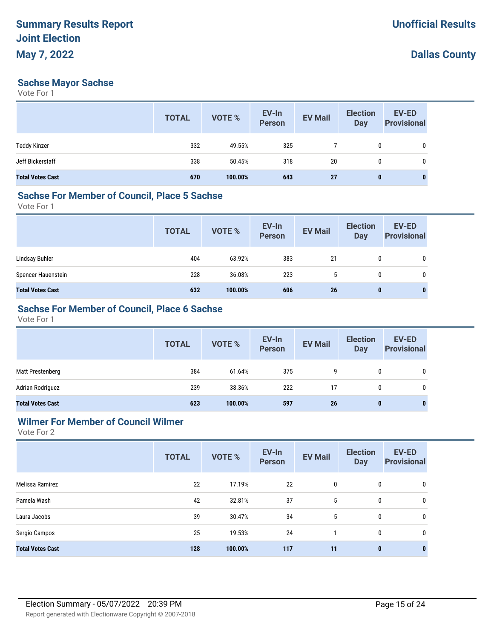### **Sachse Mayor Sachse**

Vote For 1

|                         | <b>TOTAL</b> | VOTE %  | EV-In<br><b>Person</b> | <b>EV Mail</b> | <b>Election</b><br><b>Day</b> | EV-ED<br><b>Provisional</b> |
|-------------------------|--------------|---------|------------------------|----------------|-------------------------------|-----------------------------|
| <b>Teddy Kinzer</b>     | 332          | 49.55%  | 325                    |                | $\mathbf{0}$                  | 0                           |
| Jeff Bickerstaff        | 338          | 50.45%  | 318                    | 20             | 0                             | 0                           |
| <b>Total Votes Cast</b> | 670          | 100.00% | 643                    | 27             | $\bf{0}$                      | 0                           |

# **Sachse For Member of Council, Place 5 Sachse**

Vote For 1

|                         | <b>TOTAL</b> | VOTE %  | EV-In<br>Person | <b>EV Mail</b> | <b>Election</b><br><b>Day</b> | <b>EV-ED</b><br><b>Provisional</b> |
|-------------------------|--------------|---------|-----------------|----------------|-------------------------------|------------------------------------|
| Lindsay Buhler          | 404          | 63.92%  | 383             | 21             | 0                             | 0                                  |
| Spencer Hauenstein      | 228          | 36.08%  | 223             | 5              | $\mathbf{0}$                  | 0                                  |
| <b>Total Votes Cast</b> | 632          | 100.00% | 606             | 26             | 0                             | 0                                  |

## **Sachse For Member of Council, Place 6 Sachse**

Vote For 1

|                         | <b>TOTAL</b> | <b>VOTE %</b> | EV-In<br>Person | <b>EV Mail</b> | <b>Election</b><br><b>Day</b> | <b>EV-ED</b><br><b>Provisional</b> |
|-------------------------|--------------|---------------|-----------------|----------------|-------------------------------|------------------------------------|
| Matt Prestenberg        | 384          | 61.64%        | 375             | 9              | 0                             | $\mathbf{0}$                       |
| Adrian Rodriguez        | 239          | 38.36%        | 222             | 17             | $\mathbf{0}$                  | 0                                  |
| <b>Total Votes Cast</b> | 623          | 100.00%       | 597             | 26             | $\mathbf 0$                   | $\bf{0}$                           |

## **Wilmer For Member of Council Wilmer**

|                         | <b>TOTAL</b> | VOTE %  | EV-In<br><b>Person</b> | <b>EV Mail</b> | <b>Election</b><br><b>Day</b> | EV-ED<br><b>Provisional</b> |
|-------------------------|--------------|---------|------------------------|----------------|-------------------------------|-----------------------------|
| Melissa Ramirez         | 22           | 17.19%  | 22                     | 0              | 0                             | 0                           |
| Pamela Wash             | 42           | 32.81%  | 37                     | 5              | 0                             | 0                           |
| Laura Jacobs            | 39           | 30.47%  | 34                     | 5              | 0                             | 0                           |
| Sergio Campos           | 25           | 19.53%  | 24                     |                | 0                             | 0                           |
| <b>Total Votes Cast</b> | 128          | 100.00% | 117                    | 11             | $\mathbf 0$                   | $\mathbf{0}$                |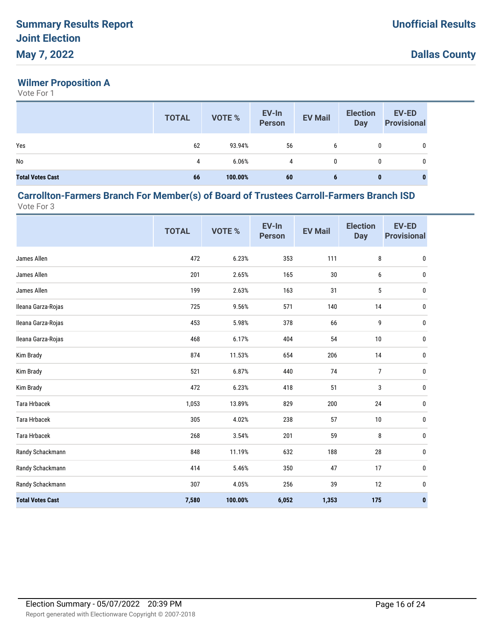# **Wilmer Proposition A**

Vote For 1

|                         | <b>TOTAL</b> | <b>VOTE %</b> | EV-In<br>Person | <b>EV Mail</b> | <b>Election</b><br><b>Day</b> | <b>EV-ED</b><br><b>Provisional</b> |
|-------------------------|--------------|---------------|-----------------|----------------|-------------------------------|------------------------------------|
| Yes                     | 62           | 93.94%        | 56              | 6              | 0                             | 0                                  |
| No                      | 4            | 6.06%         | 4               | 0              | 0                             | 0                                  |
| <b>Total Votes Cast</b> | 66           | 100.00%       | 60              | 6              | 0                             | 0                                  |

#### **Carrollton-Farmers Branch For Member(s) of Board of Trustees Carroll-Farmers Branch ISD** Vote For 3

|                         | <b>TOTAL</b> | VOTE %  | EV-In<br><b>Person</b> | <b>EV Mail</b> | <b>Election</b><br><b>Day</b> | <b>EV-ED</b><br><b>Provisional</b> |
|-------------------------|--------------|---------|------------------------|----------------|-------------------------------|------------------------------------|
| James Allen             | 472          | 6.23%   | 353                    | 111            | 8                             | $\pmb{0}$                          |
| James Allen             | 201          | 2.65%   | 165                    | 30             | 6                             | 0                                  |
| James Allen             | 199          | 2.63%   | 163                    | 31             | 5                             | 0                                  |
| Ileana Garza-Rojas      | 725          | 9.56%   | 571                    | 140            | 14                            | 0                                  |
| Ileana Garza-Rojas      | 453          | 5.98%   | 378                    | 66             | 9                             | 0                                  |
| Ileana Garza-Rojas      | 468          | 6.17%   | 404                    | 54             | $10\,$                        | 0                                  |
| Kim Brady               | 874          | 11.53%  | 654                    | 206            | 14                            | 0                                  |
| Kim Brady               | 521          | 6.87%   | 440                    | 74             | $\overline{7}$                | 0                                  |
| Kim Brady               | 472          | 6.23%   | 418                    | 51             | 3                             | 0                                  |
| <b>Tara Hrbacek</b>     | 1,053        | 13.89%  | 829                    | 200            | 24                            | 0                                  |
| <b>Tara Hrbacek</b>     | 305          | 4.02%   | 238                    | 57             | 10                            | 0                                  |
| <b>Tara Hrbacek</b>     | 268          | 3.54%   | 201                    | 59             | 8                             | $\pmb{0}$                          |
| Randy Schackmann        | 848          | 11.19%  | 632                    | 188            | 28                            | $\pmb{0}$                          |
| Randy Schackmann        | 414          | 5.46%   | 350                    | 47             | 17                            | 0                                  |
| Randy Schackmann        | 307          | 4.05%   | 256                    | 39             | 12                            | 0                                  |
| <b>Total Votes Cast</b> | 7,580        | 100.00% | 6,052                  | 1,353          | 175                           | $\bf{0}$                           |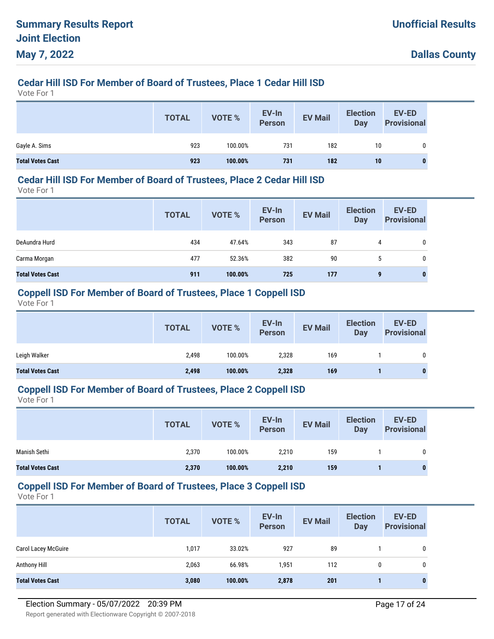# **Cedar Hill ISD For Member of Board of Trustees, Place 1 Cedar Hill ISD**

Vote For 1

|                         | <b>TOTAL</b> | <b>VOTE %</b> | EV-In<br>Person | <b>EV Mail</b> | <b>Election</b><br><b>Day</b> | <b>EV-ED</b><br><b>Provisional</b> |
|-------------------------|--------------|---------------|-----------------|----------------|-------------------------------|------------------------------------|
| Gayle A. Sims           | 923          | 100.00%       | 731             | 182            | 10                            |                                    |
| <b>Total Votes Cast</b> | 923          | 100.00%       | 731             | 182            | 10 <sup>°</sup>               |                                    |

#### **Cedar Hill ISD For Member of Board of Trustees, Place 2 Cedar Hill ISD**

Vote For 1

|                         | <b>TOTAL</b> | <b>VOTE %</b> | EV-In<br>Person | <b>EV Mail</b> | <b>Election</b><br><b>Day</b> | <b>EV-ED</b><br><b>Provisional</b> |
|-------------------------|--------------|---------------|-----------------|----------------|-------------------------------|------------------------------------|
| DeAundra Hurd           | 434          | 47.64%        | 343             | 87             | 4                             | 0                                  |
| Carma Morgan            | 477          | 52.36%        | 382             | 90             | 5                             | 0                                  |
| <b>Total Votes Cast</b> | 911          | 100.00%       | 725             | 177            | 9                             | 0                                  |

#### **Coppell ISD For Member of Board of Trustees, Place 1 Coppell ISD**

Vote For 1

|                         | <b>TOTAL</b> | VOTE %  | EV-In<br><b>Person</b> | <b>EV Mail</b> | <b>Election</b><br><b>Day</b> | EV-ED<br><b>Provisional</b> |
|-------------------------|--------------|---------|------------------------|----------------|-------------------------------|-----------------------------|
| Leigh Walker            | 2,498        | 100.00% | 2,328                  | 169            |                               |                             |
| <b>Total Votes Cast</b> | 2,498        | 100.00% | 2,328                  | 169            |                               | $\bf{0}$                    |

#### **Coppell ISD For Member of Board of Trustees, Place 2 Coppell ISD**

Vote For 1

|                         | <b>TOTAL</b> | <b>VOTE %</b> | EV-In<br><b>Person</b> | <b>EV Mail</b> | <b>Election</b><br>Day | <b>EV-ED</b><br><b>Provisional</b> |
|-------------------------|--------------|---------------|------------------------|----------------|------------------------|------------------------------------|
| Manish Sethi            | 2,370        | 100.00%       | 2,210                  | 159            |                        |                                    |
| <b>Total Votes Cast</b> | 2,370        | 100.00%       | 2,210                  | 159            |                        | 0                                  |

#### **Coppell ISD For Member of Board of Trustees, Place 3 Coppell ISD**

|                            | <b>TOTAL</b> | <b>VOTE %</b> | EV-In<br><b>Person</b> | <b>EV Mail</b> | <b>Election</b><br>Day | <b>EV-ED</b><br><b>Provisional</b> |
|----------------------------|--------------|---------------|------------------------|----------------|------------------------|------------------------------------|
| <b>Carol Lacey McGuire</b> | 1,017        | 33.02%        | 927                    | 89             |                        | 0                                  |
| Anthony Hill               | 2,063        | 66.98%        | 1,951                  | 112            | 0                      | 0                                  |
| <b>Total Votes Cast</b>    | 3,080        | 100.00%       | 2,878                  | 201            |                        |                                    |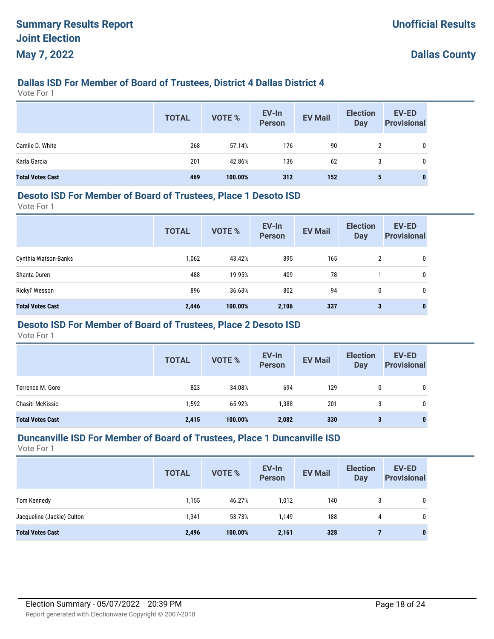# **Dallas ISD For Member of Board of Trustees, District 4 Dallas District 4**

Vote For 1

|                         | <b>TOTAL</b> | VOTE %  | EV-In<br>Person | <b>EV Mail</b> | <b>Election</b><br>Day | <b>EV-ED</b><br><b>Provisional</b> |
|-------------------------|--------------|---------|-----------------|----------------|------------------------|------------------------------------|
| Camile D. White         | 268          | 57.14%  | 176             | 90             | $\overline{2}$         | 0                                  |
| Karla Garcia            | 201          | 42.86%  | 136             | 62             | 3                      | 0                                  |
| <b>Total Votes Cast</b> | 469          | 100.00% | 312             | 152            | 5                      |                                    |

#### **Desoto ISD For Member of Board of Trustees, Place 1 Desoto ISD**

Vote For 1

|                         | <b>TOTAL</b> | <b>VOTE %</b> | EV-In<br><b>Person</b> | <b>EV Mail</b> | <b>Election</b><br><b>Day</b> | <b>EV-ED</b><br><b>Provisional</b> |
|-------------------------|--------------|---------------|------------------------|----------------|-------------------------------|------------------------------------|
| Cynthia Watson-Banks    | 1,062        | 43.42%        | 895                    | 165            | 2                             | 0                                  |
| Shanta Duren            | 488          | 19.95%        | 409                    | 78             |                               | 0                                  |
| Rickyl' Wesson          | 896          | 36.63%        | 802                    | 94             | 0                             | 0                                  |
| <b>Total Votes Cast</b> | 2,446        | 100.00%       | 2,106                  | 337            | 3                             | $\bf{0}$                           |

# **Desoto ISD For Member of Board of Trustees, Place 2 Desoto ISD**

Vote For 1

|                         | <b>TOTAL</b> | <b>VOTE %</b> | EV-In<br><b>Person</b> | <b>EV Mail</b> | <b>Election</b><br><b>Day</b> | <b>EV-ED</b><br><b>Provisional</b> |
|-------------------------|--------------|---------------|------------------------|----------------|-------------------------------|------------------------------------|
| Terrence M. Gore        | 823          | 34.08%        | 694                    | 129            | 0                             | 0                                  |
| Chasiti McKissic        | 1,592        | 65.92%        | 1,388                  | 201            | 3                             | 0                                  |
| <b>Total Votes Cast</b> | 2,415        | 100.00%       | 2,082                  | 330            | 3                             | 0                                  |

#### **Duncanville ISD For Member of Board of Trustees, Place 1 Duncanville ISD**

|                            | <b>TOTAL</b> | VOTE %  | EV-In<br>Person | <b>EV Mail</b> | <b>Election</b><br><b>Day</b> | <b>EV-ED</b><br><b>Provisional</b> |
|----------------------------|--------------|---------|-----------------|----------------|-------------------------------|------------------------------------|
| Tom Kennedy                | 1,155        | 46.27%  | 1,012           | 140            | 3                             | $\mathbf 0$                        |
| Jacqueline (Jackie) Culton | 1,341        | 53.73%  | 1,149           | 188            | 4                             | 0                                  |
| <b>Total Votes Cast</b>    | 2,496        | 100.00% | 2,161           | 328            |                               | $\mathbf{0}$                       |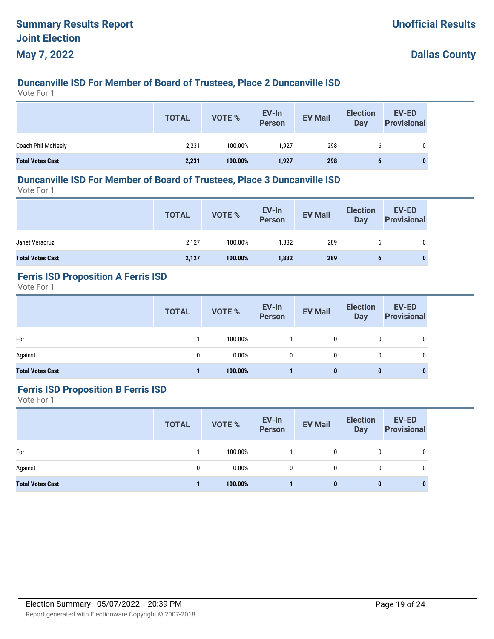# **Duncanville ISD For Member of Board of Trustees, Place 2 Duncanville ISD**

Vote For 1

|                         | <b>TOTAL</b> | VOTE %  | EV-In<br>Person | <b>EV Mail</b> | <b>Election</b><br>Day | <b>EV-ED</b><br><b>Provisional</b> |
|-------------------------|--------------|---------|-----------------|----------------|------------------------|------------------------------------|
| Coach Phil McNeely      | 2,231        | 100.00% | 1.927           | 298            |                        |                                    |
| <b>Total Votes Cast</b> | 2,231        | 100.00% | 1,927           | 298            |                        | $\bf{0}$                           |

#### **Duncanville ISD For Member of Board of Trustees, Place 3 Duncanville ISD**

Vote For 1

|                         | <b>TOTAL</b> | VOTE %  | EV-In<br>Person | <b>EV Mail</b> | <b>Election</b><br><b>Day</b> | EV-ED<br><b>Provisional</b> |
|-------------------------|--------------|---------|-----------------|----------------|-------------------------------|-----------------------------|
| Janet Veracruz          | 2,127        | 100.00% | 1,832           | 289            |                               | 0                           |
| <b>Total Votes Cast</b> | 2,127        | 100.00% | 1,832           | 289            |                               |                             |

# **Ferris ISD Proposition A Ferris ISD**

Vote For 1

|                         | <b>TOTAL</b> | VOTE %  | EV-In<br>Person | <b>EV Mail</b> | <b>Election</b><br><b>Day</b> | <b>EV-ED</b><br><b>Provisional</b> |
|-------------------------|--------------|---------|-----------------|----------------|-------------------------------|------------------------------------|
| For                     |              | 100.00% |                 | 0              |                               | 0                                  |
| Against                 | 0            | 0.00%   | $\mathbf{0}$    | $\mathbf{0}$   |                               | 0                                  |
| <b>Total Votes Cast</b> |              | 100.00% |                 | 0              | 0                             | $\bf{0}$                           |

#### **Ferris ISD Proposition B Ferris ISD**

|                         | <b>TOTAL</b> | <b>VOTE %</b> | EV-In<br>Person | <b>EV Mail</b> | <b>Election</b><br><b>Day</b> | EV-ED<br><b>Provisional</b> |
|-------------------------|--------------|---------------|-----------------|----------------|-------------------------------|-----------------------------|
| For                     |              | 100.00%       |                 | $\mathbf{0}$   | 0                             | 0                           |
| Against                 | 0            | 0.00%         | 0               | 0              | 0                             | 0                           |
| <b>Total Votes Cast</b> |              | 100.00%       |                 | 0              | $\bf{0}$                      | $\bf{0}$                    |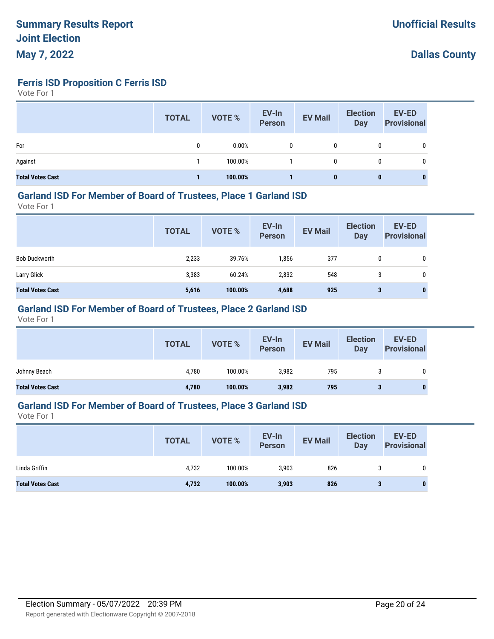**Ferris ISD Proposition C Ferris ISD**

Vote For 1

|                         | <b>TOTAL</b> | VOTE %  | EV-In<br>Person | <b>EV Mail</b> | <b>Election</b><br>Day | <b>EV-ED</b><br><b>Provisional</b> |
|-------------------------|--------------|---------|-----------------|----------------|------------------------|------------------------------------|
| For                     | 0            | 0.00%   | 0               | 0              | 0                      | 0                                  |
| Against                 |              | 100.00% |                 | 0              | 0                      | 0                                  |
| <b>Total Votes Cast</b> |              | 100.00% |                 | 0              | 0                      | $\bf{0}$                           |

#### **Garland ISD For Member of Board of Trustees, Place 1 Garland ISD**

Vote For 1

|                         | <b>TOTAL</b> | VOTE %  | EV-In<br><b>Person</b> | <b>EV Mail</b> | <b>Election</b><br><b>Day</b> | <b>EV-ED</b><br><b>Provisional</b> |
|-------------------------|--------------|---------|------------------------|----------------|-------------------------------|------------------------------------|
| <b>Bob Duckworth</b>    | 2,233        | 39.76%  | 1,856                  | 377            | 0                             | 0                                  |
| Larry Glick             | 3,383        | 60.24%  | 2,832                  | 548            |                               | 0                                  |
| <b>Total Votes Cast</b> | 5,616        | 100.00% | 4,688                  | 925            | 3                             | 0                                  |

## **Garland ISD For Member of Board of Trustees, Place 2 Garland ISD**

Vote For 1

|                         | <b>TOTAL</b> | VOTE %  | EV-In<br>Person | <b>EV Mail</b> | <b>Election</b><br>Day | <b>EV-ED</b><br><b>Provisional</b> |
|-------------------------|--------------|---------|-----------------|----------------|------------------------|------------------------------------|
| Johnny Beach            | 4,780        | 100.00% | 3,982           | 795            |                        | 0                                  |
| <b>Total Votes Cast</b> | 4,780        | 100.00% | 3,982           | 795            |                        | $\bf{0}$                           |

#### **Garland ISD For Member of Board of Trustees, Place 3 Garland ISD**

|                         | <b>TOTAL</b> | <b>VOTE %</b> | EV-In<br><b>Person</b> | <b>EV Mail</b> | <b>Election</b><br>Day | EV-ED<br><b>Provisional</b> |
|-------------------------|--------------|---------------|------------------------|----------------|------------------------|-----------------------------|
| Linda Griffin           | 4,732        | 100.00%       | 3,903                  | 826            | c<br>J                 | 0                           |
| <b>Total Votes Cast</b> | 4,732        | 100.00%       | 3,903                  | 826            | 3                      | $\bf{0}$                    |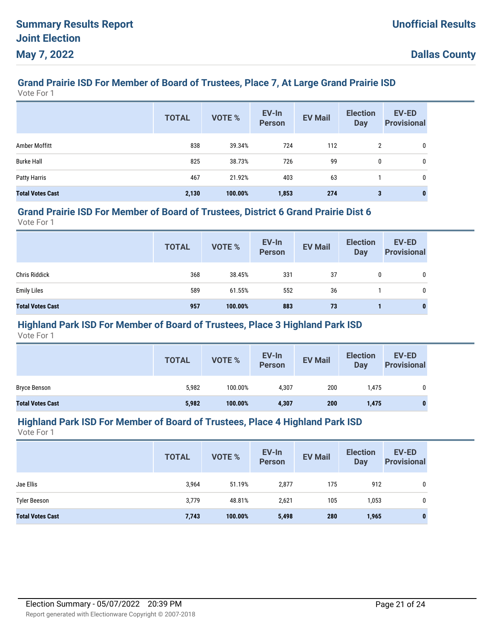# **Grand Prairie ISD For Member of Board of Trustees, Place 7, At Large Grand Prairie ISD**

Vote For 1

|                         | <b>TOTAL</b> | <b>VOTE %</b> | EV-In<br><b>Person</b> | <b>EV Mail</b> | <b>Election</b><br><b>Day</b> | <b>EV-ED</b><br><b>Provisional</b> |
|-------------------------|--------------|---------------|------------------------|----------------|-------------------------------|------------------------------------|
| Amber Moffitt           | 838          | 39.34%        | 724                    | 112            | $\overline{2}$                | 0                                  |
| <b>Burke Hall</b>       | 825          | 38.73%        | 726                    | 99             | 0                             | 0                                  |
| Patty Harris            | 467          | 21.92%        | 403                    | 63             |                               | 0                                  |
| <b>Total Votes Cast</b> | 2,130        | 100.00%       | 1,853                  | 274            | 3                             | $\bf{0}$                           |

#### **Grand Prairie ISD For Member of Board of Trustees, District 6 Grand Prairie Dist 6**

Vote For 1

|                         | <b>TOTAL</b> | VOTE %  | EV-In<br>Person | <b>EV Mail</b> | <b>Election</b><br><b>Day</b> | <b>EV-ED</b><br><b>Provisional</b> |
|-------------------------|--------------|---------|-----------------|----------------|-------------------------------|------------------------------------|
| <b>Chris Riddick</b>    | 368          | 38.45%  | 331             | 37             | 0                             | 0                                  |
| <b>Emily Liles</b>      | 589          | 61.55%  | 552             | 36             |                               | $\mathbf{0}$                       |
| <b>Total Votes Cast</b> | 957          | 100.00% | 883             | 73             |                               | $\bf{0}$                           |

## **Highland Park ISD For Member of Board of Trustees, Place 3 Highland Park ISD**

Vote For 1

|                         | <b>TOTAL</b> | VOTE %  | EV-In<br>Person | <b>EV Mail</b> | <b>Election</b><br>Day | <b>EV-ED</b><br><b>Provisional</b> |
|-------------------------|--------------|---------|-----------------|----------------|------------------------|------------------------------------|
| Bryce Benson            | 5,982        | 100.00% | 4,307           | 200            | 1,475                  |                                    |
| <b>Total Votes Cast</b> | 5,982        | 100.00% | 4,307           | 200            | 1,475                  |                                    |

#### **Highland Park ISD For Member of Board of Trustees, Place 4 Highland Park ISD**

|                         | <b>TOTAL</b> | VOTE %  | EV-In<br><b>Person</b> | <b>EV Mail</b> | <b>Election</b><br><b>Day</b> | <b>EV-ED</b><br><b>Provisional</b> |
|-------------------------|--------------|---------|------------------------|----------------|-------------------------------|------------------------------------|
| Jae Ellis               | 3,964        | 51.19%  | 2,877                  | 175            | 912                           | 0                                  |
| <b>Tyler Beeson</b>     | 3,779        | 48.81%  | 2,621                  | 105            | 1,053                         | 0                                  |
| <b>Total Votes Cast</b> | 7,743        | 100.00% | 5,498                  | 280            | 1,965                         | 0                                  |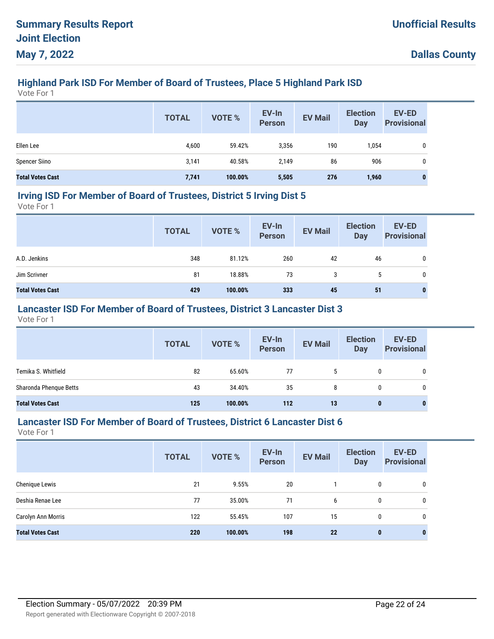# **Highland Park ISD For Member of Board of Trustees, Place 5 Highland Park ISD**

Vote For 1

|                         | <b>TOTAL</b> | <b>VOTE %</b> | EV-In<br>Person | <b>EV Mail</b> | <b>Election</b><br><b>Day</b> | EV-ED<br><b>Provisional</b> |
|-------------------------|--------------|---------------|-----------------|----------------|-------------------------------|-----------------------------|
| Ellen Lee               | 4,600        | 59.42%        | 3,356           | 190            | 1,054                         |                             |
| <b>Spencer Siino</b>    | 3,141        | 40.58%        | 2,149           | 86             | 906                           |                             |
| <b>Total Votes Cast</b> | 7,741        | 100.00%       | 5,505           | 276            | 1,960                         |                             |

#### **Irving ISD For Member of Board of Trustees, District 5 Irving Dist 5**

Vote For 1

|                         | <b>TOTAL</b> | VOTE %  | EV-In<br>Person | <b>EV Mail</b> | <b>Election</b><br>Day | <b>EV-ED</b><br><b>Provisional</b> |
|-------------------------|--------------|---------|-----------------|----------------|------------------------|------------------------------------|
| A.D. Jenkins            | 348          | 81.12%  | 260             | 42             | 46                     | 0                                  |
| Jim Scrivner            | 81           | 18.88%  | 73              | 3              |                        | 0                                  |
| <b>Total Votes Cast</b> | 429          | 100.00% | 333             | 45             | 51                     | 0                                  |

## **Lancaster ISD For Member of Board of Trustees, District 3 Lancaster Dist 3**

Vote For 1

|                         | <b>TOTAL</b> | <b>VOTE %</b> | EV-In<br>Person | <b>EV Mail</b> | <b>Election</b><br>Day | <b>EV-ED</b><br><b>Provisional</b> |
|-------------------------|--------------|---------------|-----------------|----------------|------------------------|------------------------------------|
| Temika S. Whitfield     | 82           | 65.60%        | 77              | 5              | 0                      | 0                                  |
| Sharonda Phenque Betts  | 43           | 34.40%        | 35              | 8              | 0                      | 0                                  |
| <b>Total Votes Cast</b> | 125          | 100.00%       | 112             | 13             | 0                      |                                    |

#### **Lancaster ISD For Member of Board of Trustees, District 6 Lancaster Dist 6**

|                         | <b>TOTAL</b> | <b>VOTE %</b> | EV-In<br><b>Person</b> | <b>EV Mail</b> | <b>Election</b><br><b>Day</b> | <b>EV-ED</b><br><b>Provisional</b> |
|-------------------------|--------------|---------------|------------------------|----------------|-------------------------------|------------------------------------|
| Chenique Lewis          | 21           | 9.55%         | 20                     |                | 0                             | 0                                  |
| Deshia Renae Lee        | 77           | 35.00%        | 71                     | 6              | 0                             | 0                                  |
| Carolyn Ann Morris      | 122          | 55.45%        | 107                    | 15             | 0                             | 0                                  |
| <b>Total Votes Cast</b> | 220          | 100.00%       | 198                    | 22             | $\bf{0}$                      | $\bf{0}$                           |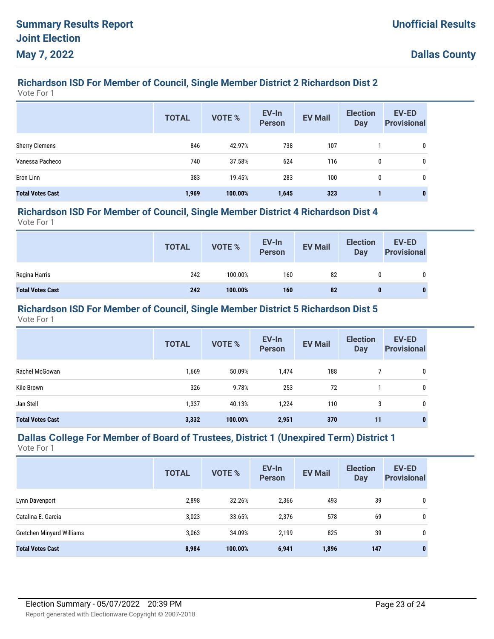# **Richardson ISD For Member of Council, Single Member District 2 Richardson Dist 2**

Vote For 1

|                         | <b>TOTAL</b> | <b>VOTE %</b> | EV-In<br><b>Person</b> | <b>EV Mail</b> | <b>Election</b><br><b>Day</b> | <b>EV-ED</b><br><b>Provisional</b> |
|-------------------------|--------------|---------------|------------------------|----------------|-------------------------------|------------------------------------|
| <b>Sherry Clemens</b>   | 846          | 42.97%        | 738                    | 107            |                               | 0                                  |
| Vanessa Pacheco         | 740          | 37.58%        | 624                    | 116            | 0                             | 0                                  |
| Eron Linn               | 383          | 19.45%        | 283                    | 100            | 0                             | 0                                  |
| <b>Total Votes Cast</b> | 1,969        | 100.00%       | 1,645                  | 323            |                               | 0                                  |

#### **Richardson ISD For Member of Council, Single Member District 4 Richardson Dist 4**

Vote For 1

|                         | <b>TOTAL</b> | VOTE %  | EV-In<br>Person | <b>EV Mail</b> | <b>Election</b><br><b>Day</b> | EV-ED<br><b>Provisional</b> |
|-------------------------|--------------|---------|-----------------|----------------|-------------------------------|-----------------------------|
| Regina Harris           | 242          | 100.00% | 160             | 82             | 0                             |                             |
| <b>Total Votes Cast</b> | 242          | 100.00% | 160             | 82             |                               |                             |

#### **Richardson ISD For Member of Council, Single Member District 5 Richardson Dist 5**

Vote For 1

|                         | <b>TOTAL</b> | <b>VOTE %</b> | EV-In<br><b>Person</b> | <b>EV Mail</b> | <b>Election</b><br><b>Day</b> | EV-ED<br><b>Provisional</b> |
|-------------------------|--------------|---------------|------------------------|----------------|-------------------------------|-----------------------------|
| Rachel McGowan          | 1,669        | 50.09%        | 1,474                  | 188            |                               | 0                           |
| Kile Brown              | 326          | 9.78%         | 253                    | 72             |                               | 0                           |
| Jan Stell               | 1,337        | 40.13%        | 1,224                  | 110            | 3                             | 0                           |
| <b>Total Votes Cast</b> | 3,332        | 100.00%       | 2,951                  | 370            | 11                            | 0                           |

# **Dallas College For Member of Board of Trustees, District 1 (Unexpired Term) District 1**

|                           | <b>TOTAL</b> | <b>VOTE %</b> | EV-In<br><b>Person</b> | <b>EV Mail</b> | <b>Election</b><br><b>Day</b> | <b>EV-ED</b><br><b>Provisional</b> |
|---------------------------|--------------|---------------|------------------------|----------------|-------------------------------|------------------------------------|
| Lynn Davenport            | 2,898        | 32.26%        | 2,366                  | 493            | 39                            | 0                                  |
| Catalina E. Garcia        | 3,023        | 33.65%        | 2,376                  | 578            | 69                            | 0                                  |
| Gretchen Minyard Williams | 3,063        | 34.09%        | 2,199                  | 825            | 39                            | 0                                  |
| <b>Total Votes Cast</b>   | 8,984        | 100.00%       | 6,941                  | 1,896          | 147                           | $\bf{0}$                           |